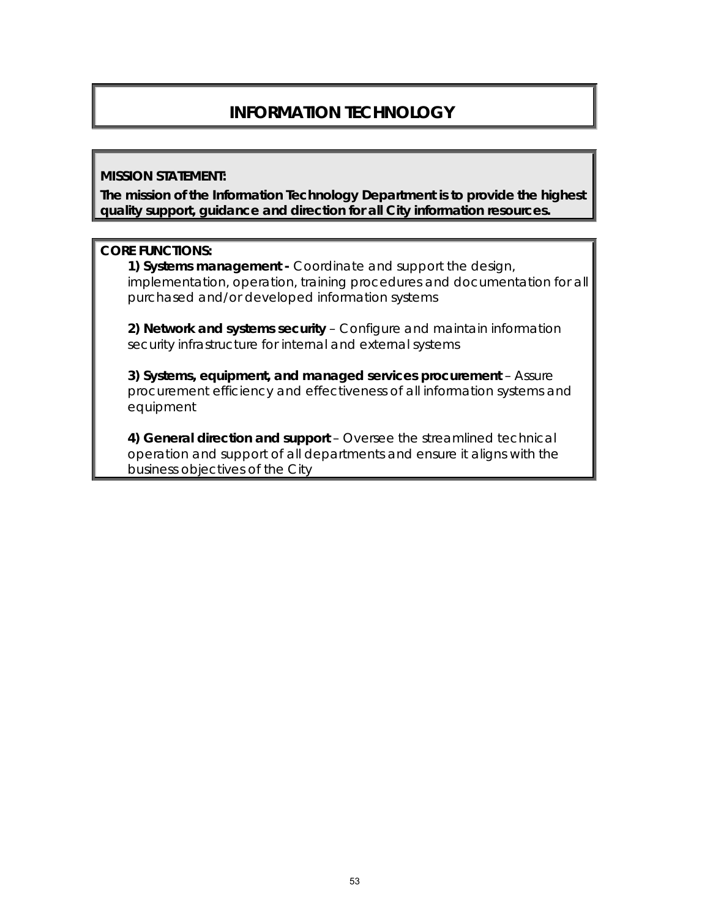# **INFORMATION TECHNOLOGY**

#### **MISSION STATEMENT:**

**The mission of the Information Technology Department is to provide the highest quality support, guidance and direction for all City information resources.** 

#### **CORE FUNCTIONS:**

**1) Systems management -** Coordinate and support the design, implementation, operation, training procedures and documentation for all purchased and/or developed information systems

**2) Network and systems security** – Configure and maintain information security infrastructure for internal and external systems

**3) Systems, equipment, and managed services procurement** – Assure procurement efficiency and effectiveness of all information systems and equipment

**4) General direction and support** – Oversee the streamlined technical operation and support of all departments and ensure it aligns with the business objectives of the City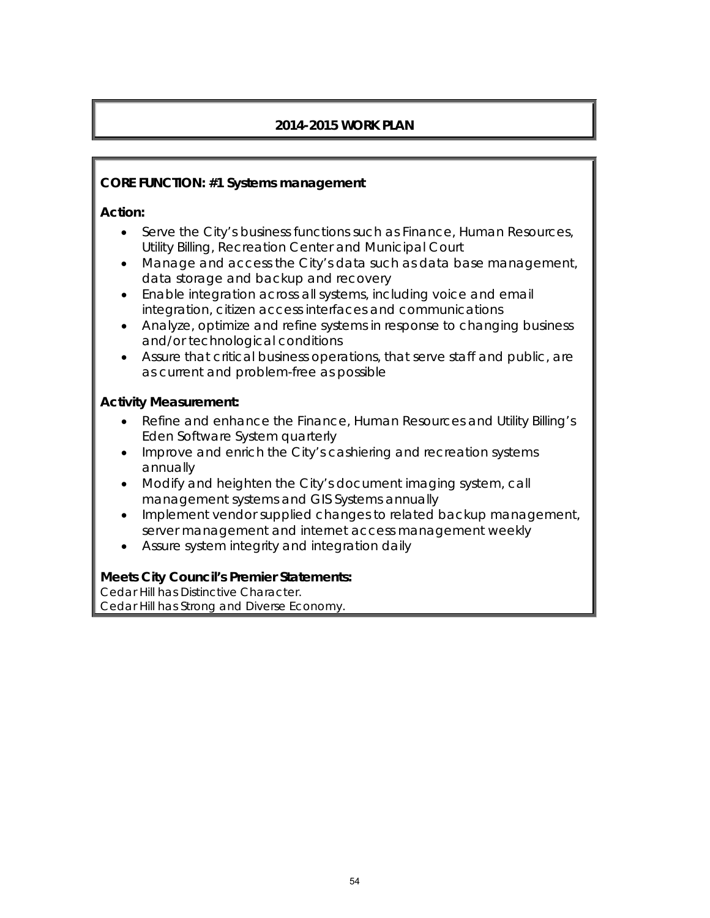## **2014-2015 WORK PLAN**

#### **CORE FUNCTION: #1 Systems management**

#### **Action:**

- Serve the City's business functions such as Finance, Human Resources, Utility Billing, Recreation Center and Municipal Court
- Manage and access the City's data such as data base management, data storage and backup and recovery
- Enable integration across all systems, including voice and email integration, citizen access interfaces and communications
- Analyze, optimize and refine systems in response to changing business and/or technological conditions
- Assure that critical business operations, that serve staff and public, are as current and problem-free as possible

### **Activity Measurement:**

- Refine and enhance the Finance, Human Resources and Utility Billing's Eden Software System quarterly
- Improve and enrich the City's cashiering and recreation systems annually
- Modify and heighten the City's document imaging system, call management systems and GIS Systems annually
- Implement vendor supplied changes to related backup management, server management and internet access management weekly
- Assure system integrity and integration daily

#### **Meets City Council's Premier Statements:**

Cedar Hill has Distinctive Character. Cedar Hill has Strong and Diverse Economy.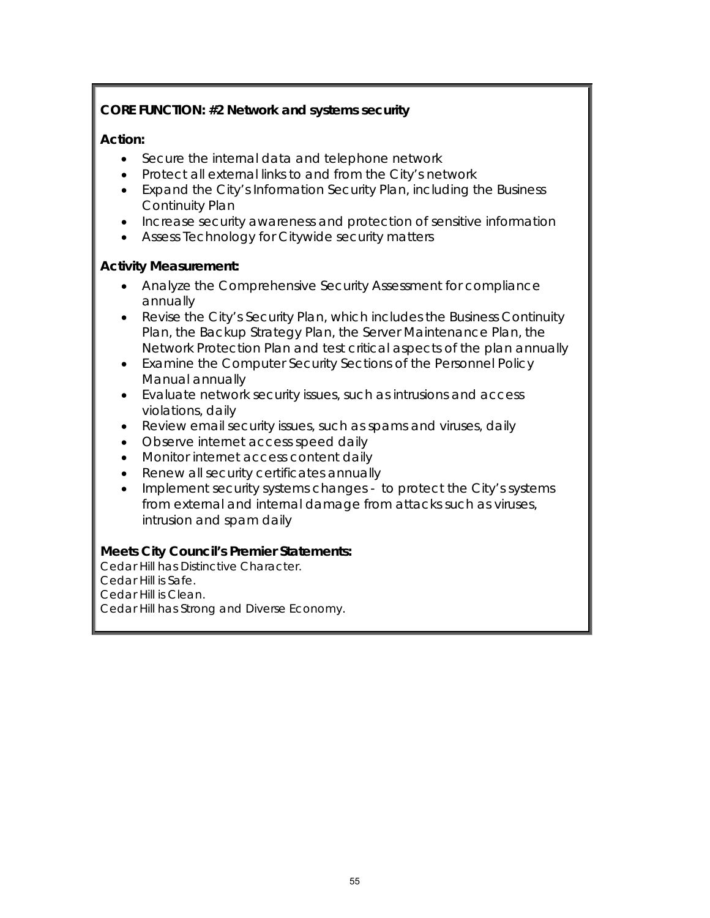## **CORE FUNCTION: #2 Network and systems security**

#### **Action:**

- Secure the internal data and telephone network
- Protect all external links to and from the City's network
- Expand the City's Information Security Plan, including the Business Continuity Plan
- Increase security awareness and protection of sensitive information
- Assess Technology for Citywide security matters

### **Activity Measurement:**

- Analyze the Comprehensive Security Assessment for compliance annually
- Revise the City's Security Plan, which includes the Business Continuity Plan, the Backup Strategy Plan, the Server Maintenance Plan, the Network Protection Plan and test critical aspects of the plan annually
- Examine the Computer Security Sections of the Personnel Policy Manual annually
- Evaluate network security issues, such as intrusions and access violations, daily
- Review email security issues, such as spams and viruses, daily
- Observe internet access speed daily
- Monitor internet access content daily
- Renew all security certificates annually
- Implement security systems changes to protect the City's systems from external and internal damage from attacks such as viruses, intrusion and spam daily

## **Meets City Council's Premier Statements:**

Cedar Hill has Distinctive Character. Cedar Hill is Safe. Cedar Hill is Clean. Cedar Hill has Strong and Diverse Economy.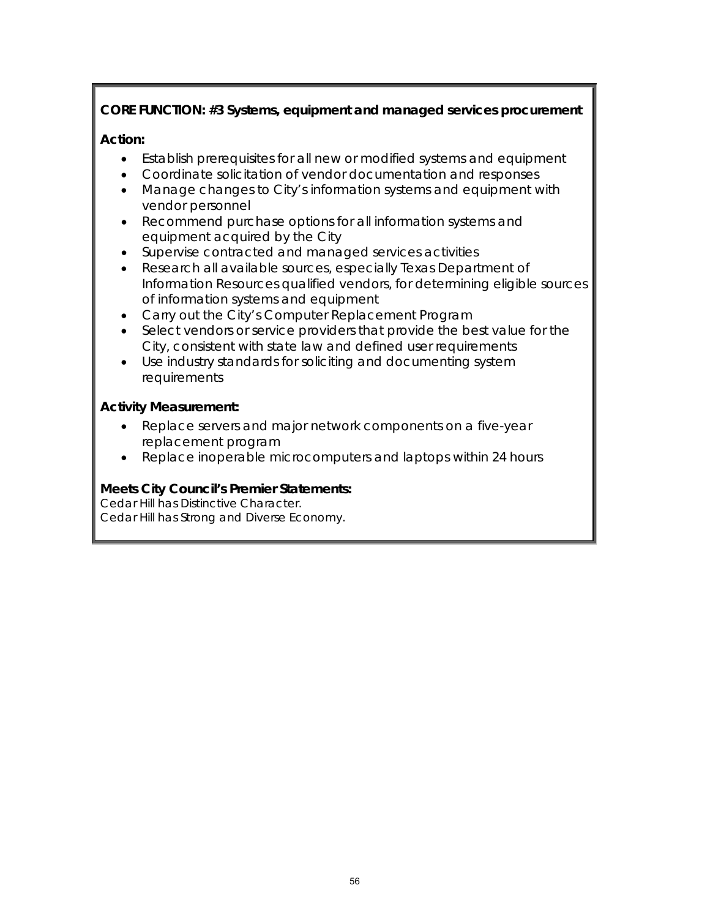## **CORE FUNCTION: #3 Systems, equipment and managed services procurement**

## **Action:**

- Establish prerequisites for all new or modified systems and equipment
- Coordinate solicitation of vendor documentation and responses
- Manage changes to City's information systems and equipment with vendor personnel
- Recommend purchase options for all information systems and equipment acquired by the City
- Supervise contracted and managed services activities
- Research all available sources, especially Texas Department of Information Resources qualified vendors, for determining eligible sources of information systems and equipment
- Carry out the City's Computer Replacement Program
- Select vendors or service providers that provide the best value for the City, consistent with state law and defined user requirements
- Use industry standards for soliciting and documenting system requirements

### **Activity Measurement:**

- Replace servers and major network components on a five-year replacement program
- Replace inoperable microcomputers and laptops within 24 hours

## **Meets City Council's Premier Statements:**

Cedar Hill has Distinctive Character. Cedar Hill has Strong and Diverse Economy.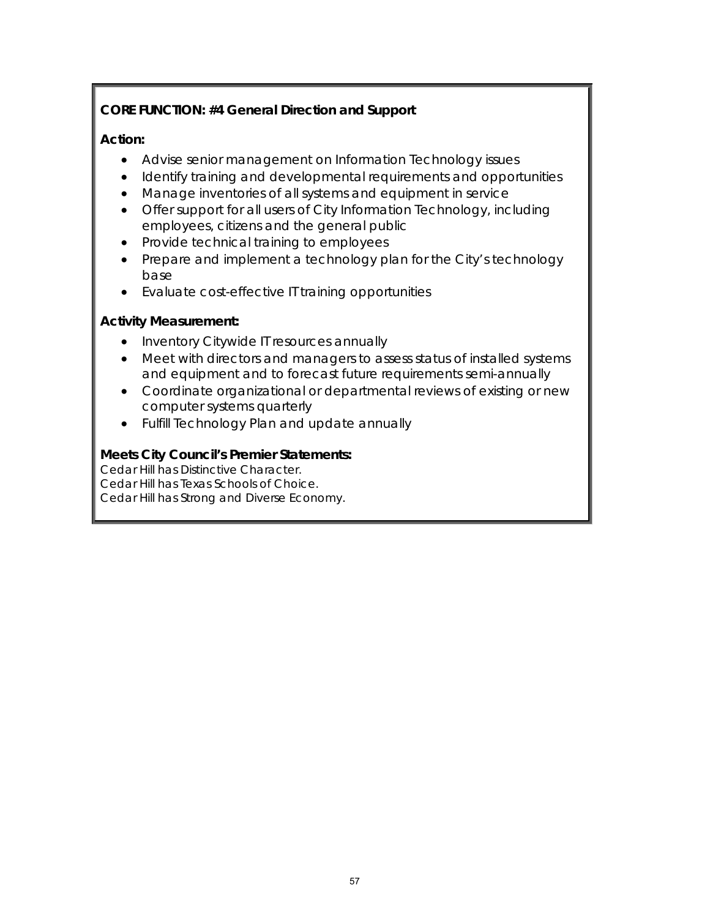## **CORE FUNCTION: #4 General Direction and Support**

## **Action:**

- Advise senior management on Information Technology issues
- Identify training and developmental requirements and opportunities
- Manage inventories of all systems and equipment in service
- Offer support for all users of City Information Technology, including employees, citizens and the general public
- Provide technical training to employees
- Prepare and implement a technology plan for the City's technology base
- Evaluate cost-effective IT training opportunities

### **Activity Measurement:**

- Inventory Citywide IT resources annually
- Meet with directors and managers to assess status of installed systems and equipment and to forecast future requirements semi-annually
- Coordinate organizational or departmental reviews of existing or new computer systems quarterly
- Fulfill Technology Plan and update annually

## **Meets City Council's Premier Statements:**

Cedar Hill has Distinctive Character. Cedar Hill has Texas Schools of Choice. Cedar Hill has Strong and Diverse Economy.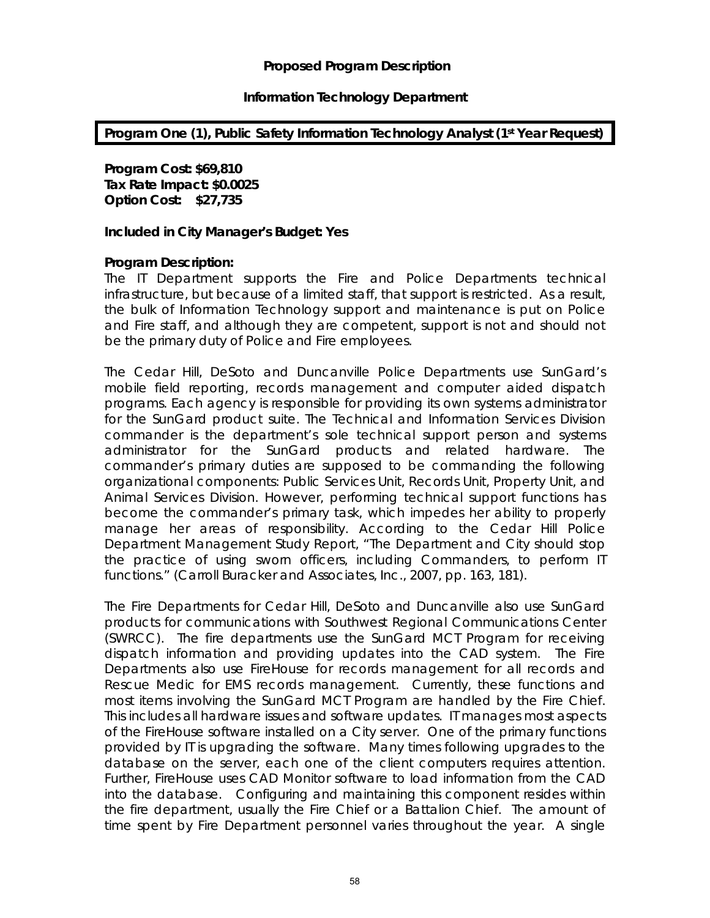#### **Proposed Program Description**

#### **Information Technology Department**

#### **Program One (1), Public Safety Information Technology Analyst (1st Year Request)**

**Program Cost: \$69,810 Tax Rate Impact: \$0.0025 Option Cost: \$27,735**

#### **Included in City Manager's Budget: Yes**

#### **Program Description:**

The IT Department supports the Fire and Police Departments technical infrastructure, but because of a limited staff, that support is restricted. As a result, the bulk of Information Technology support and maintenance is put on Police and Fire staff, and although they are competent, support is not and should not be the primary duty of Police and Fire employees.

The Cedar Hill, DeSoto and Duncanville Police Departments use *SunGard's*  mobile field reporting, records management and computer aided dispatch programs. Each agency is responsible for providing its own systems administrator for the *SunGard* product suite. The Technical and Information Services Division commander is the department's sole technical support person and systems administrator for the S*unGard* products and related hardware. The commander's primary duties are supposed to be commanding the following organizational components: Public Services Unit, Records Unit, Property Unit, and Animal Services Division. However, performing technical support functions has become the commander's primary task, which impedes her ability to properly manage her areas of responsibility. According to the Cedar Hill Police Department Management Study Report, "The Department and City should stop the practice of using sworn officers, including Commanders, to perform IT functions." (Carroll Buracker and Associates, Inc., 2007, pp. 163, 181).

The Fire Departments for Cedar Hill, DeSoto and Duncanville also use *SunGard* products for communications with Southwest Regional Communications Center (SWRCC). The fire departments use the *SunGard MCT Program* for receiving dispatch information and providing updates into the CAD system. The Fire Departments also use FireHouse for records management for all records and *Rescue Medic* for EMS records management. Currently, these functions and most items involving the *SunGard MCT Program* are handled by the Fire Chief. This includes all hardware issues and software updates. IT manages most aspects of the FireHouse software installed on a City server. One of the primary functions provided by IT is upgrading the software. Many times following upgrades to the database on the server, each one of the client computers requires attention. Further, FireHouse uses CAD Monitor software to load information from the CAD into the database. Configuring and maintaining this component resides within the fire department, usually the Fire Chief or a Battalion Chief. The amount of time spent by Fire Department personnel varies throughout the year. A single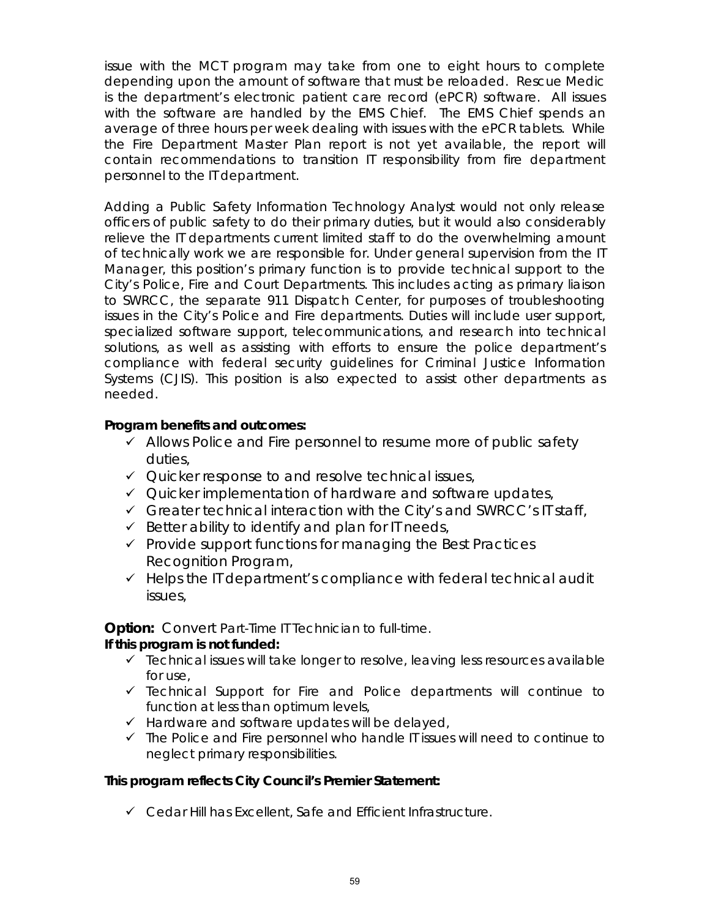issue with the MCT program may take from one to eight hours to complete depending upon the amount of software that must be reloaded. *Rescue Medic* is the department's electronic patient care record (ePCR) software. All issues with the software are handled by the EMS Chief. The EMS Chief spends an average of three hours per week dealing with issues with the ePCR tablets. While the Fire Department Master Plan report is not yet available, the report will contain recommendations to transition IT responsibility from fire department personnel to the IT department.

Adding a Public Safety Information Technology Analyst would not only release officers of public safety to do their primary duties, but it would also considerably relieve the IT departments current limited staff to do the overwhelming amount of technically work we are responsible for. Under general supervision from the IT Manager, this position's primary function is to provide technical support to the City's Police, Fire and Court Departments. This includes acting as primary liaison to SWRCC, the separate 911 Dispatch Center, for purposes of troubleshooting issues in the City's Police and Fire departments. Duties will include user support, specialized software support, telecommunications, and research into technical solutions, as well as assisting with efforts to ensure the police department's compliance with federal security guidelines for Criminal Justice Information Systems (CJIS). This position is also expected to assist other departments as needed.

#### **Program benefits and outcomes:**

- $\checkmark$  Allows Police and Fire personnel to resume more of public safety duties,
- $\checkmark$  Quicker response to and resolve technical issues,
- $\checkmark$  Quicker implementation of hardware and software updates,
- $\checkmark$  Greater technical interaction with the City's and SWRCC's IT staff,
- $\checkmark$  Better ability to identify and plan for IT needs,
- $\checkmark$  Provide support functions for managing the Best Practices Recognition Program,
- $\checkmark$  Helps the IT department's compliance with federal technical audit issues,

**Option:** Convert Part-Time IT Technician to full-time.

#### **If this program is not funded:**

- $\checkmark$  Technical issues will take longer to resolve, leaving less resources available for use,
- $\checkmark$  Technical Support for Fire and Police departments will continue to function at less than optimum levels,
- $\checkmark$  Hardware and software updates will be delayed,
- $\checkmark$  The Police and Fire personnel who handle IT issues will need to continue to neglect primary responsibilities.

#### **This program reflects City Council's Premier Statement:**

 $\checkmark$  Cedar Hill has Excellent, Safe and Efficient Infrastructure.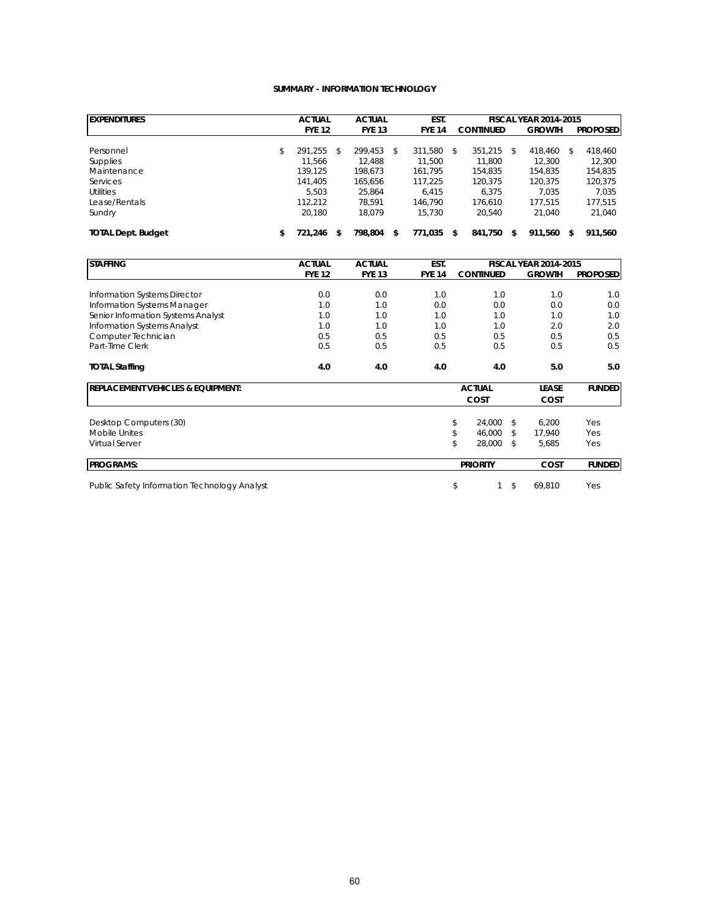#### **SUMMARY - INFORMATION TECHNOLOGY**

| <b>EXPENDITURES</b>       |    | <b>ACTUAL</b> |    | <b>ACTUAL</b> |    | EST.          |    | <b>FISCAL YEAR 2014-2015</b> |  |               |    |                 |
|---------------------------|----|---------------|----|---------------|----|---------------|----|------------------------------|--|---------------|----|-----------------|
|                           |    | <b>FYE 12</b> |    | <b>FYE 13</b> |    | <b>FYE 14</b> |    | <b>CONTINUED</b>             |  | <b>GROWTH</b> |    | <b>PROPOSED</b> |
|                           |    |               |    |               |    |               |    |                              |  |               |    |                 |
| Personnel                 | \$ | 291.255       | \$ | 299.453       | \$ | 311.580       | \$ | 351.215<br>\$                |  | 418.460       | \$ | 418.460         |
| <b>Supplies</b>           |    | 11.566        |    | 12.488        |    | 11.500        |    | 11.800                       |  | 12.300        |    | 12.300          |
| Maintenance               |    | 139.125       |    | 198.673       |    | 161.795       |    | 154.835                      |  | 154.835       |    | 154,835         |
| <b>Services</b>           |    | 141.405       |    | 165.656       |    | 117.225       |    | 120.375                      |  | 120.375       |    | 120,375         |
| <b>Utilities</b>          |    | 5.503         |    | 25.864        |    | 6.415         |    | 6.375                        |  | 7.035         |    | 7.035           |
| Lease/Rentals             |    | 112.212       |    | 78.591        |    | 146.790       |    | 176.610                      |  | 177.515       |    | 177.515         |
| Sundry                    |    | 20.180        |    | 18.079        |    | 15.730        |    | 20.540                       |  | 21.040        |    | 21,040          |
| <b>TOTAL Dept. Budget</b> | \$ | 721.246       | S  | 798.804       | \$ | 771.035       |    | 841.750                      |  | 911.560       |    | 911.560         |

| <b>STAFFING</b>                              | <b>ACTUAL</b> | <b>ACTUAL</b> | EST.          | <b>FISCAL YEAR 2014-2015</b> |               |                 |  |
|----------------------------------------------|---------------|---------------|---------------|------------------------------|---------------|-----------------|--|
|                                              | <b>FYE 12</b> | <b>FYE 13</b> | <b>FYE 14</b> | <b>CONTINUED</b>             | <b>GROWTH</b> | <b>PROPOSED</b> |  |
|                                              |               |               |               |                              |               |                 |  |
| Information Systems Director                 | 0.0           | 0.0           | 1.0           | 1.0                          | 1.0           | 1.0             |  |
| Information Systems Manager                  | 1.0           | 1.0           | 0.0           | 0.0                          | 0.0           | 0.0             |  |
| Senior Information Systems Analyst           | 1.0           | 1.0           | 1.0           | 1.0                          | 1.0           | 1.0             |  |
| Information Systems Analyst                  | 1.0           | 1.0           | 1.0           | 1.0                          | 2.0           | 2.0             |  |
| Computer Technician                          | 0.5           | 0.5           | 0.5           | 0.5                          | 0.5           | 0.5             |  |
| Part-Time Clerk                              | 0.5           | 0.5           | 0.5           | 0.5                          | 0.5           | 0.5             |  |
| <b>TOTAL Staffing</b>                        | 4.0           | 4.0           | 4.0           | 4.0                          | 5.0           | 5.0             |  |
| <b>REPLACEMENT VEHICLES &amp; EQUIPMENT:</b> |               |               |               | <b>ACTUAL</b>                | <b>LEASE</b>  | <b>FUNDED</b>   |  |
|                                              |               |               |               | COST                         | <b>COST</b>   |                 |  |
| Desktop Computers (30)                       |               |               |               | 24,000<br>\$                 | \$<br>6,200   | Yes             |  |
| Mobile Unites                                |               |               |               | \$<br>46.000                 | 17,940<br>\$  | Yes             |  |
| Virtual Server                               |               |               |               | \$<br>28,000                 | 5,685<br>£.   | Yes             |  |
| <b>PROGRAMS:</b>                             |               |               |               | <b>PRIORITY</b>              | <b>COST</b>   | <b>FUNDED</b>   |  |
| Public Safety Information Technology Analyst |               |               |               | \$                           | \$<br>69,810  | Yes             |  |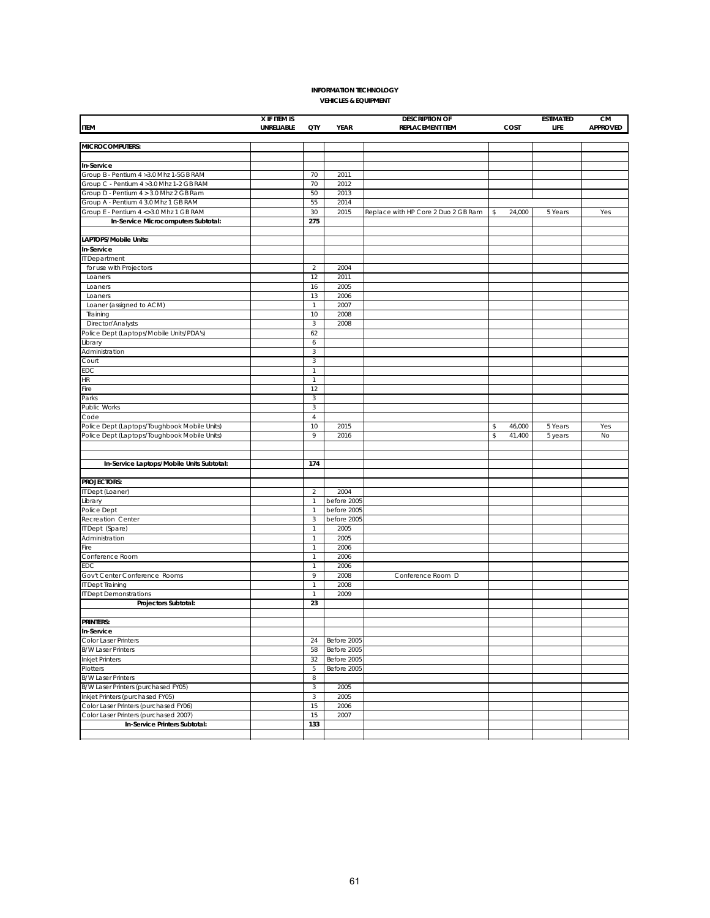#### **INFORMATION TECHNOLOGY VEHICLES & EQUIPMENT**

|                                              | X IF ITEM IS |                |             | <b>DESCRIPTION OF</b>               |              | <b>ESTIMATED</b> | CM              |
|----------------------------------------------|--------------|----------------|-------------|-------------------------------------|--------------|------------------|-----------------|
| <b>ITEM</b>                                  | UNRELIABLE   | QTY            | YEAR        | <b>REPLACEMENT ITEM</b>             | COST         | LIFE             | <b>APPROVED</b> |
|                                              |              |                |             |                                     |              |                  |                 |
| MICROCOMPUTERS:                              |              |                |             |                                     |              |                  |                 |
|                                              |              |                |             |                                     |              |                  |                 |
| <b>In-Service</b>                            |              |                |             |                                     |              |                  |                 |
| Group B - Pentium 4 > 3.0 Mhz 1-5GB RAM      |              | 70             | 2011        |                                     |              |                  |                 |
| Group C - Pentium 4 > 3.0 Mhz 1-2 GB RAM     |              | 70             | 2012        |                                     |              |                  |                 |
| Group D - Pentium 4 > 3.0 Mhz 2 GB Ram       |              | 50             | 2013        |                                     |              |                  |                 |
| Group A - Pentium 4 3.0 Mhz 1 GB RAM         |              | 55             | 2014        |                                     |              |                  |                 |
| Group E - Pentium 4 <> 3.0 Mhz 1 GB RAM      |              | 30             | 2015        | Replace with HP Core 2 Duo 2 GB Ram | 24,000<br>\$ | 5 Years          | Yes             |
| In-Service Microcomputers Subtotal:          |              | 275            |             |                                     |              |                  |                 |
|                                              |              |                |             |                                     |              |                  |                 |
| LAPTOPS/Mobile Units:                        |              |                |             |                                     |              |                  |                 |
| In-Service                                   |              |                |             |                                     |              |                  |                 |
| IT Department                                |              |                |             |                                     |              |                  |                 |
| for use with Projectors                      |              | $\overline{2}$ | 2004        |                                     |              |                  |                 |
| Loaners                                      |              | 12             | 2011        |                                     |              |                  |                 |
| Loaners                                      |              | 16             | 2005        |                                     |              |                  |                 |
| Loaners                                      |              | 13             | 2006        |                                     |              |                  |                 |
| Loaner (assigned to ACM)                     |              | $\mathbf{1}$   | 2007        |                                     |              |                  |                 |
| Training                                     |              | 10             | 2008        |                                     |              |                  |                 |
| Director/Analysts                            |              | $\sqrt{3}$     | 2008        |                                     |              |                  |                 |
| Police Dept (Laptops/Mobile Units/PDA's)     |              | 62             |             |                                     |              |                  |                 |
| Library                                      |              | 6              |             |                                     |              |                  |                 |
| Administration                               |              | $\sqrt{3}$     |             |                                     |              |                  |                 |
| Court                                        |              | $\mathbf{3}$   |             |                                     |              |                  |                 |
|                                              |              |                |             |                                     |              |                  |                 |
| EDC                                          |              | $\mathbf{1}$   |             |                                     |              |                  |                 |
| HR                                           |              | $\mathbf{1}$   |             |                                     |              |                  |                 |
| Fire                                         |              | 12             |             |                                     |              |                  |                 |
| Parks                                        |              | 3              |             |                                     |              |                  |                 |
| Public Works                                 |              | $\sqrt{3}$     |             |                                     |              |                  |                 |
| Code                                         |              | $\overline{4}$ |             |                                     |              |                  |                 |
| Police Dept (Laptops/Toughbook Mobile Units) |              | 10             | 2015        |                                     | \$<br>46,000 | 5 Years          | Yes             |
| Police Dept (Laptops/Toughbook Mobile Units) |              | 9              | 2016        |                                     | 41,400<br>\$ | 5 years          | No              |
|                                              |              |                |             |                                     |              |                  |                 |
|                                              |              |                |             |                                     |              |                  |                 |
| In-Service Laptops/Mobile Units Subtotal:    |              | 174            |             |                                     |              |                  |                 |
|                                              |              |                |             |                                     |              |                  |                 |
| <b>PROJECTORS:</b>                           |              |                |             |                                     |              |                  |                 |
| IT Dept (Loaner)                             |              | 2              | 2004        |                                     |              |                  |                 |
| Library                                      |              | $\mathbf{1}$   | before 2005 |                                     |              |                  |                 |
| Police Dept                                  |              | $\mathbf{1}$   | before 2005 |                                     |              |                  |                 |
| Recreation Center                            |              | 3              | before 2005 |                                     |              |                  |                 |
| IT Dept (Spare)                              |              | $\mathbf{1}$   | 2005        |                                     |              |                  |                 |
| Administration                               |              | $\mathbf{1}$   | 2005        |                                     |              |                  |                 |
| Fire                                         |              | $\mathbf{1}$   | 2006        |                                     |              |                  |                 |
| Conference Room                              |              | $\mathbf{1}$   | 2006        |                                     |              |                  |                 |
| EDC                                          |              | $\mathbf{1}$   | 2006        |                                     |              |                  |                 |
| Gov't Center Conference Rooms                |              | 9              | 2008        | Conference Room D                   |              |                  |                 |
| IT Dept Training                             |              | $\mathbf{1}$   | 2008        |                                     |              |                  |                 |
| IT Dept Demonstrations                       |              | $\mathbf{1}$   | 2009        |                                     |              |                  |                 |
| Projectors Subtotal:                         |              | 23             |             |                                     |              |                  |                 |
|                                              |              |                |             |                                     |              |                  |                 |
| <b>PRINTERS:</b>                             |              |                |             |                                     |              |                  |                 |
| In-Service                                   |              |                |             |                                     |              |                  |                 |
| Color Laser Printers                         |              | 24             | Before 2005 |                                     |              |                  |                 |
| <b>B/W Laser Printers</b>                    |              | 58             | Before 2005 |                                     |              |                  |                 |
|                                              |              |                |             |                                     |              |                  |                 |
| <b>Inkjet Printers</b>                       |              | 32             | Before 2005 |                                     |              |                  |                 |
| Plotters                                     |              | 5              | Before 2005 |                                     |              |                  |                 |
| <b>B/W Laser Printers</b>                    |              | 8              |             |                                     |              |                  |                 |
| B/W Laser Printers (purchased FY05)          |              | $\sqrt{3}$     | 2005        |                                     |              |                  |                 |
| Inkjet Printers (purchased FY05)             |              | $\sqrt{3}$     | 2005        |                                     |              |                  |                 |
| Color Laser Printers (purchased FY06)        |              | 15             | 2006        |                                     |              |                  |                 |
| Color Laser Printers (purchased 2007)        |              | 15             | 2007        |                                     |              |                  |                 |
| In-Service Printers Subtotal:                |              | 133            |             |                                     |              |                  |                 |
|                                              |              |                |             |                                     |              |                  |                 |